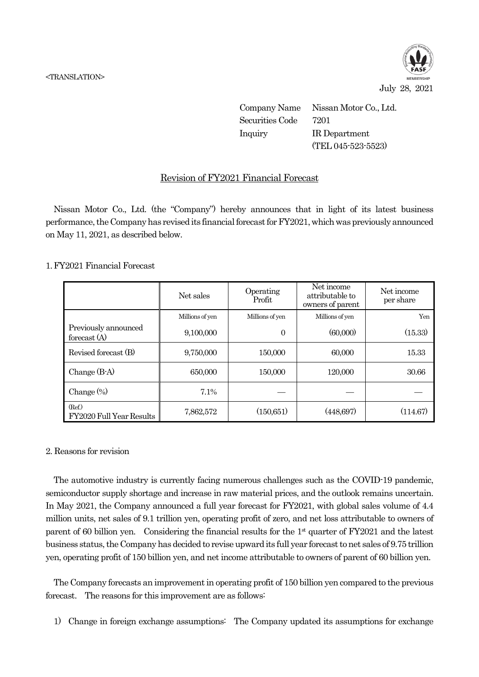

July 28, 2021

Company Name Nissan Motor Co., Ltd. Securities Code 7201 Inquiry IR Department (TEL 045-523-5523)

## Revision of FY2021 Financial Forecast

Nissan Motor Co., Ltd. (the "Company") hereby announces that in light of its latest business performance, the Company has revised its financial forecast for FY2021, which was previously announced on May 11, 2021, as described below.

## 1. FY2021 Financial Forecast

|                                        | Net sales       | Operating<br>Profit | Net income<br>attributable to<br>owners of parent | Net income<br>per share |
|----------------------------------------|-----------------|---------------------|---------------------------------------------------|-------------------------|
|                                        | Millions of yen | Millions of yen     | Millions of yen                                   | Yen                     |
| Previously announced<br>forecast $(A)$ | 9,100,000       | $\overline{0}$      | (60,000)                                          | (15.33)                 |
| Revised forecast (B)                   | 9,750,000       | 150,000             | 60,000                                            | 15.33                   |
| Change $(B-A)$                         | 650,000         | 150,000             | 120,000                                           | 30.66                   |
| Change $(\%)$                          | 7.1%            |                     |                                                   |                         |
| (Ref.)<br>FY2020 Full Year Results     | 7,862,572       | (150, 651)          | (448,697)                                         | (114.67)                |

## 2. Reasons for revision

The automotive industry is currently facing numerous challenges such as the COVID-19 pandemic, semiconductor supply shortage and increase in raw material prices, and the outlook remains uncertain. In May 2021, the Company announced a full year forecast for FY2021, with global sales volume of 4.4 million units, net sales of 9.1 trillion yen, operating profit of zero, and net loss attributable to owners of parent of 60 billion yen. Considering the financial results for the 1<sup>st</sup> quarter of FY2021 and the latest business status, the Company has decided to revise upward its full year forecast to net sales of 9.75 trillion yen, operating profit of 150 billion yen, and net income attributable to owners of parent of 60 billion yen.

The Company forecasts an improvement in operating profit of 150 billion yen compared to the previous forecast. The reasons for this improvement are as follows:

1) Change in foreign exchange assumptions: The Company updated its assumptions for exchange